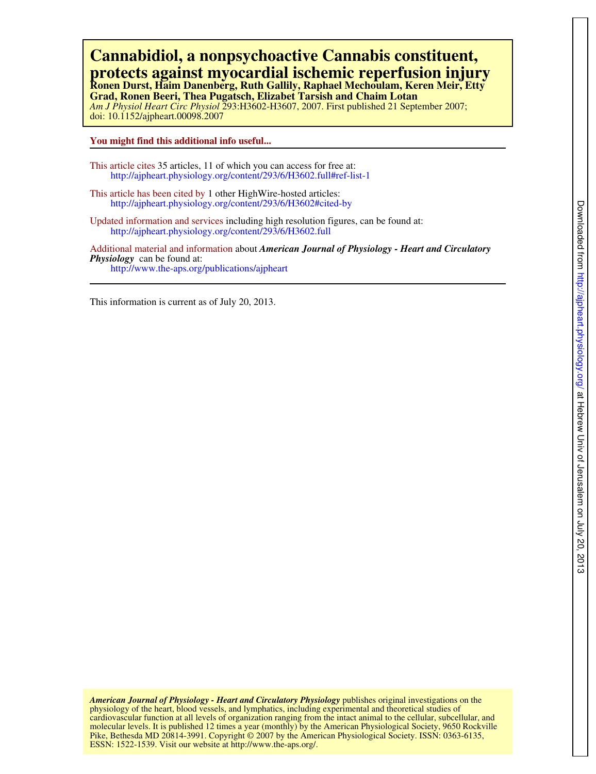## **protects against myocardial ischemic reperfusion injury Cannabidiol, a nonpsychoactive Cannabis constituent,**

**Grad, Ronen Beeri, Thea Pugatsch, Elizabet Tarsish and Chaim Lotan Ronen Durst, Haim Danenberg, Ruth Gallily, Raphael Mechoulam, Keren Meir, Etty**

doi: 10.1152/ajpheart.00098.2007 *Am J Physiol Heart Circ Physiol* 293:H3602-H3607, 2007. First published 21 September 2007;

#### **You might find this additional info useful...**

- This article cites 35 articles, 11 of which you can access for free at: http://ajpheart.physiology.org/content/293/6/H3602.full#ref-list-1
- This article has been cited by 1 other HighWire-hosted articles: http://ajpheart.physiology.org/content/293/6/H3602#cited-by
- Updated information and services including high resolution figures, can be found at: http://ajpheart.physiology.org/content/293/6/H3602.full

*Physiology* can be found at: Additional material and information about *American Journal of Physiology - Heart and Circulatory* http://www.the-aps.org/publications/ajpheart

This information is current as of July 20, 2013.

ESSN: 1522-1539. Visit our website at http://www.the-aps.org/. Pike, Bethesda MD 20814-3991. Copyright © 2007 by the American Physiological Society. ISSN: 0363-6135, molecular levels. It is published 12 times a year (monthly) by the American Physiological Society, 9650 Rockville cardiovascular function at all levels of organization ranging from the intact animal to the cellular, subcellular, and physiology of the heart, blood vessels, and lymphatics, including experimental and theoretical studies of *American Journal of Physiology - Heart and Circulatory Physiology* publishes original investigations on the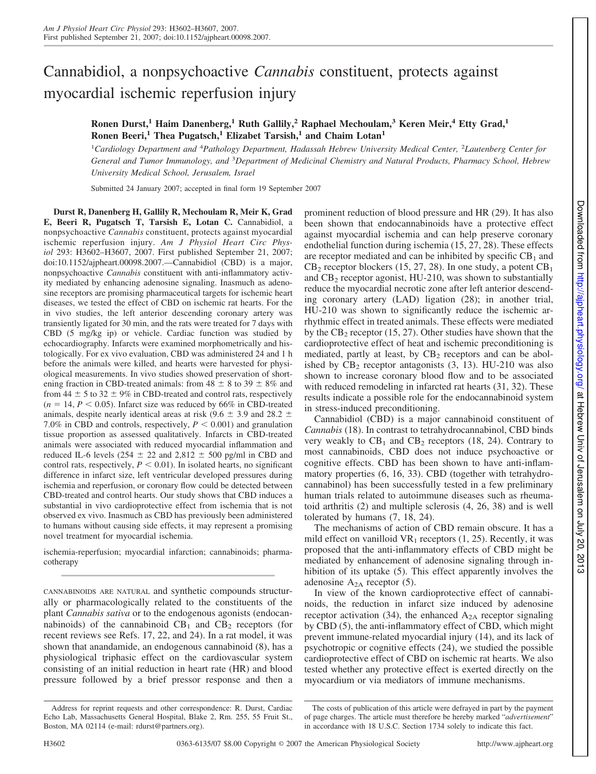# Cannabidiol, a nonpsychoactive *Cannabis* constituent, protects against myocardial ischemic reperfusion injury

### **Ronen Durst,<sup>1</sup> Haim Danenberg,<sup>1</sup> Ruth Gallily,<sup>2</sup> Raphael Mechoulam,<sup>3</sup> Keren Meir,<sup>4</sup> Etty Grad,<sup>1</sup> Ronen Beeri,<sup>1</sup> Thea Pugatsch,<sup>1</sup> Elizabet Tarsish,<sup>1</sup> and Chaim Lotan<sup>1</sup>**

<sup>1</sup>*Cardiology Department and* <sup>4</sup>*Pathology Department, Hadassah Hebrew University Medical Center,* <sup>2</sup>*Lautenberg Center for General and Tumor Immunology, and* <sup>3</sup>*Department of Medicinal Chemistry and Natural Products, Pharmacy School, Hebrew University Medical School, Jerusalem, Israel*

Submitted 24 January 2007; accepted in final form 19 September 2007

Downloaded from http://ajpheart.physiology.org/ at Hebrew Univ of Jerusalem on July 20, at Hebrew Univ of Jerusalem on July 20, 2013 http://ajpheart.physiology.org/ Downloaded from  $.2013$ 

**Durst R, Danenberg H, Gallily R, Mechoulam R, Meir K, Grad E, Beeri R, Pugatsch T, Tarsish E, Lotan C.** Cannabidiol, a nonpsychoactive *Cannabis* constituent, protects against myocardial ischemic reperfusion injury. *Am J Physiol Heart Circ Physiol* 293: H3602–H3607, 2007. First published September 21, 2007; doi:10.1152/ajpheart.00098.2007.—Cannabidiol (CBD) is a major, nonpsychoactive *Cannabis* constituent with anti-inflammatory activity mediated by enhancing adenosine signaling. Inasmuch as adenosine receptors are promising pharmaceutical targets for ischemic heart diseases, we tested the effect of CBD on ischemic rat hearts. For the in vivo studies, the left anterior descending coronary artery was transiently ligated for 30 min, and the rats were treated for 7 days with CBD (5 mg/kg ip) or vehicle. Cardiac function was studied by echocardiography. Infarcts were examined morphometrically and histologically. For ex vivo evaluation, CBD was administered 24 and 1 h before the animals were killed, and hearts were harvested for physiological measurements. In vivo studies showed preservation of shortening fraction in CBD-treated animals: from  $48 \pm 8$  to  $39 \pm 8\%$  and from 44  $\pm$  5 to 32  $\pm$  9% in CBD-treated and control rats, respectively  $(n = 14, P < 0.05)$ . Infarct size was reduced by 66% in CBD-treated animals, despite nearly identical areas at risk (9.6  $\pm$  3.9 and 28.2  $\pm$ 7.0% in CBD and controls, respectively,  $P < 0.001$ ) and granulation tissue proportion as assessed qualitatively. Infarcts in CBD-treated animals were associated with reduced myocardial inflammation and reduced IL-6 levels (254  $\pm$  22 and 2,812  $\pm$  500 pg/ml in CBD and control rats, respectively,  $P \leq 0.01$ ). In isolated hearts, no significant difference in infarct size, left ventricular developed pressures during ischemia and reperfusion, or coronary flow could be detected between CBD-treated and control hearts. Our study shows that CBD induces a substantial in vivo cardioprotective effect from ischemia that is not observed ex vivo. Inasmuch as CBD has previously been administered to humans without causing side effects, it may represent a promising novel treatment for myocardial ischemia.

ischemia-reperfusion; myocardial infarction; cannabinoids; pharmacotherapy

CANNABINOIDS ARE NATURAL and synthetic compounds structurally or pharmacologically related to the constituents of the plant *Cannabis sativa* or to the endogenous agonists (endocannabinoids) of the cannabinoid  $CB_1$  and  $CB_2$  receptors (for recent reviews see Refs. 17, 22, and 24). In a rat model, it was shown that anandamide, an endogenous cannabinoid (8), has a physiological triphasic effect on the cardiovascular system consisting of an initial reduction in heart rate (HR) and blood pressure followed by a brief pressor response and then a prominent reduction of blood pressure and HR (29). It has also been shown that endocannabinoids have a protective effect against myocardial ischemia and can help preserve coronary endothelial function during ischemia (15, 27, 28). These effects are receptor mediated and can be inhibited by specific  $CB<sub>1</sub>$  and  $CB<sub>2</sub>$  receptor blockers (15, 27, 28). In one study, a potent  $CB<sub>1</sub>$ and  $CB<sub>2</sub>$  receptor agonist, HU-210, was shown to substantially reduce the myocardial necrotic zone after left anterior descending coronary artery (LAD) ligation (28); in another trial, HU-210 was shown to significantly reduce the ischemic arrhythmic effect in treated animals. These effects were mediated by the  $CB_2$  receptor (15, 27). Other studies have shown that the cardioprotective effect of heat and ischemic preconditioning is mediated, partly at least, by  $CB_2$  receptors and can be abolished by  $CB_2$  receptor antagonists  $(3, 13)$ . HU-210 was also shown to increase coronary blood flow and to be associated with reduced remodeling in infarcted rat hearts (31, 32). These results indicate a possible role for the endocannabinoid system in stress-induced preconditioning.

Cannabidiol (CBD) is a major cannabinoid constituent of *Cannabis* (18). In contrast to tetrahydrocannabinol, CBD binds very weakly to  $CB_1$  and  $CB_2$  receptors (18, 24). Contrary to most cannabinoids, CBD does not induce psychoactive or cognitive effects. CBD has been shown to have anti-inflammatory properties (6, 16, 33). CBD (together with tetrahydrocannabinol) has been successfully tested in a few preliminary human trials related to autoimmune diseases such as rheumatoid arthritis (2) and multiple sclerosis (4, 26, 38) and is well tolerated by humans (7, 18, 24).

The mechanisms of action of CBD remain obscure. It has a mild effect on vanilloid  $VR_1$  receptors (1, 25). Recently, it was proposed that the anti-inflammatory effects of CBD might be mediated by enhancement of adenosine signaling through inhibition of its uptake (5). This effect apparently involves the adenosine  $A_{2A}$  receptor (5).

In view of the known cardioprotective effect of cannabinoids, the reduction in infarct size induced by adenosine receptor activation (34), the enhanced  $A_{2A}$  receptor signaling by CBD (5), the anti-inflammatory effect of CBD, which might prevent immune-related myocardial injury (14), and its lack of psychotropic or cognitive effects (24), we studied the possible cardioprotective effect of CBD on ischemic rat hearts. We also tested whether any protective effect is exerted directly on the myocardium or via mediators of immune mechanisms.

Address for reprint requests and other correspondence: R. Durst, Cardiac Echo Lab, Massachusetts General Hospital, Blake 2, Rm. 255, 55 Fruit St., Boston, MA 02114 (e-mail: rdurst@partners.org).

The costs of publication of this article were defrayed in part by the payment of page charges. The article must therefore be hereby marked "*advertisement*" in accordance with 18 U.S.C. Section 1734 solely to indicate this fact.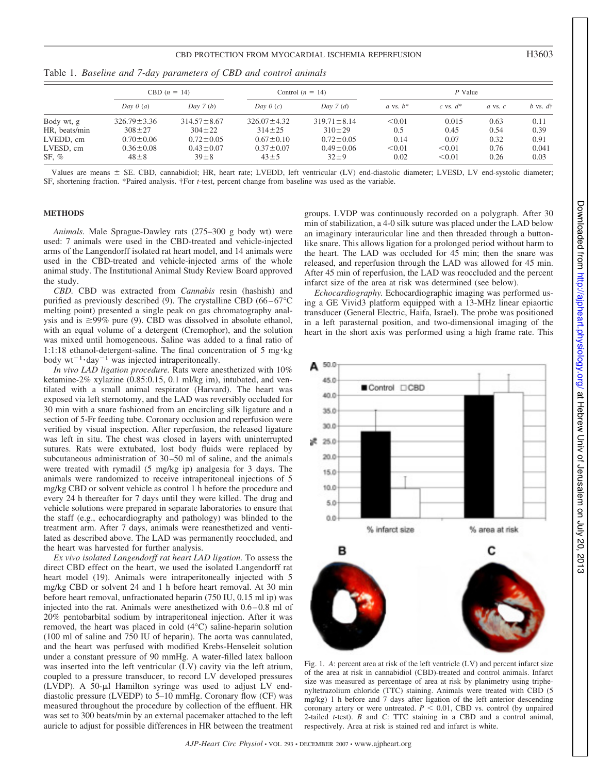|               | $CBD (n = 14)$    |                   | Control $(n = 14)$ |                   | P Value     |             |             |                     |  |  |
|---------------|-------------------|-------------------|--------------------|-------------------|-------------|-------------|-------------|---------------------|--|--|
|               | Day $\theta$ (a)  | Day $7(b)$        | Day $\theta(c)$    | Day $7(d)$        | a vs. $b^*$ | c vs. $d^*$ | $a$ vs. $c$ | $b$ vs. $d\uparrow$ |  |  |
| Body wt, g    | $326.79 \pm 3.36$ | $314.57 \pm 8.67$ | $326.07 \pm 4.32$  | $319.71 \pm 8.14$ | < 0.01      | 0.015       | 0.63        | 0.11                |  |  |
| HR, beats/min | $308 \pm 27$      | $304 \pm 22$      | $314 \pm 25$       | $310\pm 29$       | 0.5         | 0.45        | 0.54        | 0.39                |  |  |
| LVEDD, cm     | $0.70 \pm 0.06$   | $0.72 \pm 0.05$   | $0.67 \pm 0.10$    | $0.72 \pm 0.05$   | 0.14        | 0.07        | 0.32        | 0.91                |  |  |
| LVESD, cm     | $0.36 \pm 0.08$   | $0.43 \pm 0.07$   | $0.37 \pm 0.07$    | $0.49 \pm 0.06$   | < 0.01      | < 0.01      | 0.76        | 0.041               |  |  |
| SF, $%$       | $48 + 8$          | $39 \pm 8$        | $43 \pm 5$         | $32 + 9$          | 0.02        | < 0.01      | 0.26        | 0.03                |  |  |

Table 1. *Baseline and 7-day parameters of CBD and control animals*

Values are means  $\pm$  SE. CBD, cannabidiol; HR, heart rate; LVEDD, left ventricular (LV) end-diastolic diameter; LVESD, LV end-systolic diameter; SF, shortening fraction. \*Paired analysis. †For *t*-test, percent change from baseline was used as the variable.

#### **METHODS**

*Animals.* Male Sprague-Dawley rats (275–300 g body wt) were used: 7 animals were used in the CBD-treated and vehicle-injected arms of the Langendorff isolated rat heart model, and 14 animals were used in the CBD-treated and vehicle-injected arms of the whole animal study. The Institutional Animal Study Review Board approved the study.

*CBD.* CBD was extracted from *Cannabis* resin (hashish) and purified as previously described (9). The crystalline CBD (66–67°C melting point) presented a single peak on gas chromatography analysis and is  $\geq$ 99% pure (9). CBD was dissolved in absolute ethanol, with an equal volume of a detergent (Cremophor), and the solution was mixed until homogeneous. Saline was added to a final ratio of 1:1:18 ethanol-detergent-saline. The final concentration of 5 mg·kg body  $wt^{-1}$ ·day<sup>-1</sup> was injected intraperitoneally.

*In vivo LAD ligation procedure.* Rats were anesthetized with 10% ketamine-2% xylazine (0.85:0.15, 0.1 ml/kg im), intubated, and ventilated with a small animal respirator (Harvard). The heart was exposed via left sternotomy, and the LAD was reversibly occluded for 30 min with a snare fashioned from an encircling silk ligature and a section of 5-Fr feeding tube. Coronary occlusion and reperfusion were verified by visual inspection. After reperfusion, the released ligature was left in situ. The chest was closed in layers with uninterrupted sutures. Rats were extubated, lost body fluids were replaced by subcutaneous administration of 30–50 ml of saline, and the animals were treated with rymadil (5 mg/kg ip) analgesia for 3 days. The animals were randomized to receive intraperitoneal injections of 5 mg/kg CBD or solvent vehicle as control 1 h before the procedure and every 24 h thereafter for 7 days until they were killed. The drug and vehicle solutions were prepared in separate laboratories to ensure that the staff (e.g., echocardiography and pathology) was blinded to the treatment arm. After 7 days, animals were reanesthetized and ventilated as described above. The LAD was permanently reoccluded, and the heart was harvested for further analysis.

*Ex vivo isolated Langendorff rat heart LAD ligation.* To assess the direct CBD effect on the heart, we used the isolated Langendorff rat heart model (19). Animals were intraperitoneally injected with 5 mg/kg CBD or solvent 24 and 1 h before heart removal. At 30 min before heart removal, unfractionated heparin (750 IU, 0.15 ml ip) was injected into the rat. Animals were anesthetized with 0.6–0.8 ml of 20% pentobarbital sodium by intraperitoneal injection. After it was removed, the heart was placed in cold (4°C) saline-heparin solution (100 ml of saline and 750 IU of heparin). The aorta was cannulated, and the heart was perfused with modified Krebs-Henseleit solution under a constant pressure of 90 mmHg. A water-filled latex balloon was inserted into the left ventricular (LV) cavity via the left atrium, coupled to a pressure transducer, to record LV developed pressures  $(LVDP)$ . A 50- $\mu$ l Hamilton syringe was used to adjust LV enddiastolic pressure (LVEDP) to 5–10 mmHg. Coronary flow (CF) was measured throughout the procedure by collection of the effluent. HR was set to 300 beats/min by an external pacemaker attached to the left auricle to adjust for possible differences in HR between the treatment groups. LVDP was continuously recorded on a polygraph. After 30 min of stabilization, a 4-0 silk suture was placed under the LAD below an imaginary interauricular line and then threaded through a buttonlike snare. This allows ligation for a prolonged period without harm to the heart. The LAD was occluded for 45 min; then the snare was released, and reperfusion through the LAD was allowed for 45 min. After 45 min of reperfusion, the LAD was reoccluded and the percent infarct size of the area at risk was determined (see below).

*Echocardiography.* Echocardiographic imaging was performed using a GE Vivid3 platform equipped with a 13-MHz linear epiaortic transducer (General Electric, Haifa, Israel). The probe was positioned in a left parasternal position, and two-dimensional imaging of the heart in the short axis was performed using a high frame rate. This



Fig. 1. *A*: percent area at risk of the left ventricle (LV) and percent infarct size of the area at risk in cannabidiol (CBD)-treated and control animals. Infarct size was measured as percentage of area at risk by planimetry using triphenyltetrazolium chloride (TTC) staining. Animals were treated with CBD (5 mg/kg) 1 h before and 7 days after ligation of the left anterior descending coronary artery or were untreated.  $P < 0.01$ , CBD vs. control (by unpaired 2-tailed *t*-test). *B* and *C*: TTC staining in a CBD and a control animal, respectively. Area at risk is stained red and infarct is white.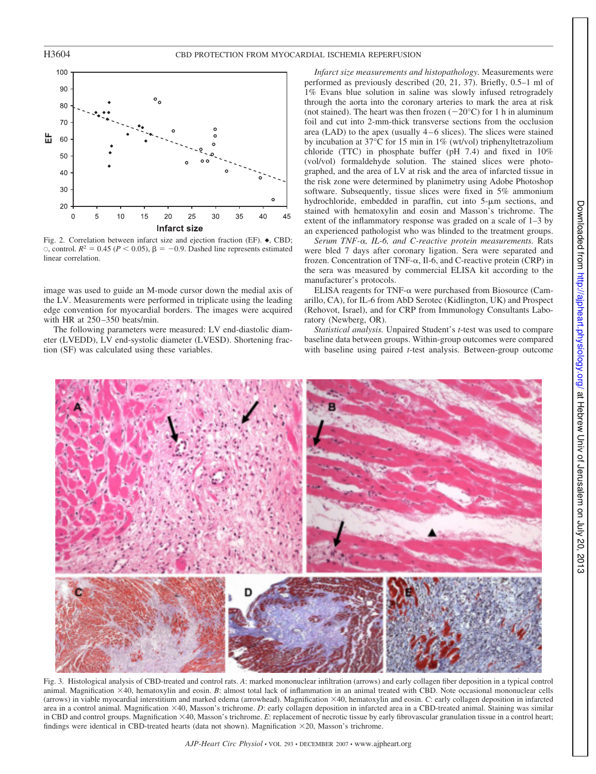

Fig. 2. Correlation between infarct size and ejection fraction (EF).  $\triangle$ , CBD;  $\Omega$ , control.  $R^2 = 0.45$  ( $P < 0.05$ ),  $\beta = -0.9$ . Dashed line represents estimated linear correlation.

image was used to guide an M-mode cursor down the medial axis of the LV. Measurements were performed in triplicate using the leading edge convention for myocardial borders. The images were acquired with HR at 250–350 beats/min.

The following parameters were measured: LV end-diastolic diameter (LVEDD), LV end-systolic diameter (LVESD). Shortening fraction (SF) was calculated using these variables.

*Infarct size measurements and histopathology.* Measurements were performed as previously described (20, 21, 37). Briefly, 0.5–1 ml of 1% Evans blue solution in saline was slowly infused retrogradely through the aorta into the coronary arteries to mark the area at risk (not stained). The heart was then frozen  $(-20^{\circ}C)$  for 1 h in aluminum foil and cut into 2-mm-thick transverse sections from the occlusion area (LAD) to the apex (usually 4–6 slices). The slices were stained by incubation at 37°C for 15 min in 1% (wt/vol) triphenyltetrazolium chloride (TTC) in phosphate buffer (pH 7.4) and fixed in 10% (vol/vol) formaldehyde solution. The stained slices were photographed, and the area of LV at risk and the area of infarcted tissue in the risk zone were determined by planimetry using Adobe Photoshop software. Subsequently, tissue slices were fixed in 5% ammonium hydrochloride, embedded in paraffin, cut into 5-um sections, and stained with hematoxylin and eosin and Masson's trichrome. The extent of the inflammatory response was graded on a scale of 1–3 by an experienced pathologist who was blinded to the treatment groups.

Serum TNF- $\alpha$ , IL-6, and C-reactive protein measurements. Rats were bled 7 days after coronary ligation. Sera were separated and frozen. Concentration of TNF- $\alpha$ , Il-6, and C-reactive protein (CRP) in the sera was measured by commercial ELISA kit according to the manufacturer's protocols.

ELISA reagents for TNF- $\alpha$  were purchased from Biosource (Camarillo, CA), for IL-6 from AbD Serotec (Kidlington, UK) and Prospect (Rehovot, Israel), and for CRP from Immunology Consultants Laboratory (Newberg, OR).

*Statistical analysis.* Unpaired Student's *t*-test was used to compare baseline data between groups. Within-group outcomes were compared with baseline using paired *t*-test analysis. Between-group outcome



Fig. 3. Histological analysis of CBD-treated and control rats. *A*: marked mononuclear infiltration (arrows) and early collagen fiber deposition in a typical control animal. Magnification ×40, hematoxylin and eosin. *B*: almost total lack of inflammation in an animal treated with CBD. Note occasional mononuclear cells (arrows) in viable myocardial interstitium and marked edema (arrowhead). Magnification 40, hematoxylin and eosin. *C*: early collagen deposition in infarcted area in a control animal. Magnification ×40, Masson's trichrome. *D*: early collagen deposition in infarcted area in a CBD-treated animal. Staining was similar in CBD and control groups. Magnification  $\times$ 40, Masson's trichrome. *E*: replacement of necrotic tissue by early fibrovascular granulation tissue in a control heart; findings were identical in CBD-treated hearts (data not shown). Magnification  $\times$ 20, Masson's trichrome.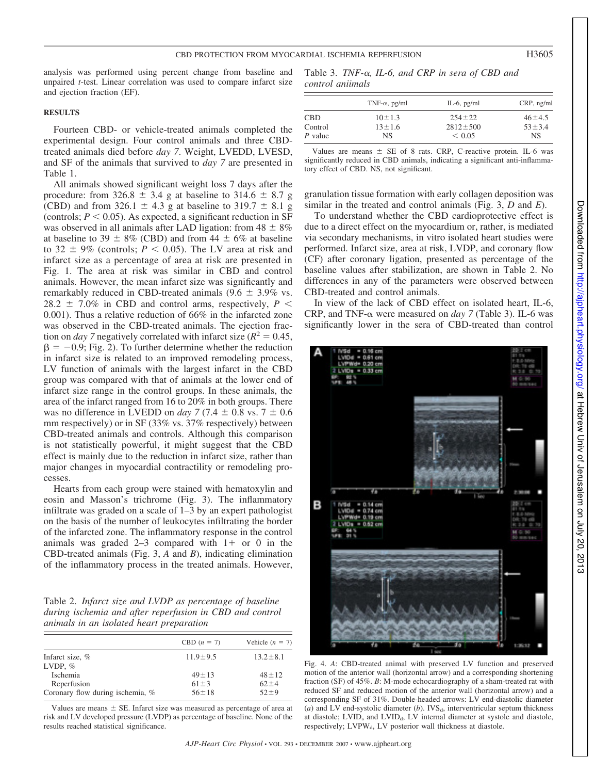analysis was performed using percent change from baseline and unpaired *t*-test. Linear correlation was used to compare infarct size and ejection fraction (EF).

#### **RESULTS**

Fourteen CBD- or vehicle-treated animals completed the experimental design. Four control animals and three CBDtreated animals died before *day 7*. Weight, LVEDD, LVESD, and SF of the animals that survived to *day 7* are presented in Table 1.

All animals showed significant weight loss 7 days after the procedure: from 326.8  $\pm$  3.4 g at baseline to 314.6  $\pm$  8.7 g (CBD) and from 326.1  $\pm$  4.3 g at baseline to 319.7  $\pm$  8.1 g (controls;  $P \leq 0.05$ ). As expected, a significant reduction in SF was observed in all animals after LAD ligation: from  $48 \pm 8\%$ at baseline to 39  $\pm$  8% (CBD) and from 44  $\pm$  6% at baseline to  $32 \pm 9\%$  (controls;  $P \le 0.05$ ). The LV area at risk and infarct size as a percentage of area at risk are presented in Fig. 1. The area at risk was similar in CBD and control animals. However, the mean infarct size was significantly and remarkably reduced in CBD-treated animals  $(9.6 \pm 3.9\% \text{ vs.})$  $28.2 \pm 7.0\%$  in CBD and control arms, respectively,  $P \leq$ 0.001). Thus a relative reduction of 66% in the infarcted zone was observed in the CBD-treated animals. The ejection fraction on *day* 7 negatively correlated with infarct size  $(R^2 = 0.45,$  $\beta = -0.9$ ; Fig. 2). To further determine whether the reduction in infarct size is related to an improved remodeling process, LV function of animals with the largest infarct in the CBD group was compared with that of animals at the lower end of infarct size range in the control groups. In these animals, the area of the infarct ranged from 16 to 20% in both groups. There was no difference in LVEDD on *day* 7 (7.4  $\pm$  0.8 vs. 7  $\pm$  0.6 mm respectively) or in SF (33% vs. 37% respectively) between CBD-treated animals and controls. Although this comparison is not statistically powerful, it might suggest that the CBD effect is mainly due to the reduction in infarct size, rather than major changes in myocardial contractility or remodeling processes.

Hearts from each group were stained with hematoxylin and eosin and Masson's trichrome (Fig. 3). The inflammatory infiltrate was graded on a scale of 1–3 by an expert pathologist on the basis of the number of leukocytes infiltrating the border of the infarcted zone. The inflammatory response in the control animals was graded  $2-3$  compared with  $1+$  or 0 in the CBD-treated animals (Fig. 3, *A* and *B*), indicating elimination of the inflammatory process in the treated animals. However,

Table 2. *Infarct size and LVDP as percentage of baseline during ischemia and after reperfusion in CBD and control animals in an isolated heart preparation*

|                                  | CBD $(n = 7)$  | Vehicle $(n = 7)$ |
|----------------------------------|----------------|-------------------|
| Infarct size, %                  | $11.9 \pm 9.5$ | $13.2 \pm 8.1$    |
| LVDP, $%$                        |                |                   |
| <i>Ischemia</i>                  | $49 \pm 13$    | $48 \pm 12$       |
| Reperfusion                      | $61 \pm 3$     | $62 + 4$          |
| Coronary flow during ischemia, % | $56 \pm 18$    | $52 + 9$          |

Values are means  $\pm$  SE. Infarct size was measured as percentage of area at risk and LV developed pressure (LVDP) as percentage of baseline. None of the results reached statistical significance.

Table 3. *TNF-* $\alpha$ *, IL-6, and CRP in sera of CBD and control aniimals*

|            | TNF- $\alpha$ , pg/ml | IL-6, $pg/ml$  | CRP, ng/ml   |
|------------|-----------------------|----------------|--------------|
| <b>CBD</b> | $10 \pm 1.3$          | $254 \pm 22$   | $46 \pm 4.5$ |
| Control    | $13 \pm 1.6$          | $2812 \pm 500$ | $53 \pm 3.4$ |
| $P$ value  | <b>NS</b>             | < 0.05         | <b>NS</b>    |

Values are means  $\pm$  SE of 8 rats. CRP, C-reactive protein. IL-6 was significantly reduced in CBD animals, indicating a significant anti-inflammatory effect of CBD. NS, not significant.

granulation tissue formation with early collagen deposition was similar in the treated and control animals (Fig. 3, *D* and *E*).

To understand whether the CBD cardioprotective effect is due to a direct effect on the myocardium or, rather, is mediated via secondary mechanisms, in vitro isolated heart studies were performed. Infarct size, area at risk, LVDP, and coronary flow (CF) after coronary ligation, presented as percentage of the baseline values after stabilization, are shown in Table 2. No differences in any of the parameters were observed between CBD-treated and control animals.

In view of the lack of CBD effect on isolated heart, IL-6, CRP, and TNF- $\alpha$  were measured on *day* 7 (Table 3). IL-6 was significantly lower in the sera of CBD-treated than control



Fig. 4. *A*: CBD-treated animal with preserved LV function and preserved motion of the anterior wall (horizontal arrow) and a corresponding shortening fraction (SF) of 45%. *B*: M-mode echocardiography of a sham-treated rat with reduced SF and reduced motion of the anterior wall (horizontal arrow) and a corresponding SF of 31%. Double-headed arrows: LV end-diastolic diameter ( $a$ ) and LV end-systolic diameter  $(b)$ . IVS<sub>d</sub>, interventricular septum thickness at diastole; LVID<sub>s</sub> and LVID<sub>d</sub>, LV internal diameter at systole and diastole, respectively; LVPW<sub>d</sub>, LV posterior wall thickness at diastole.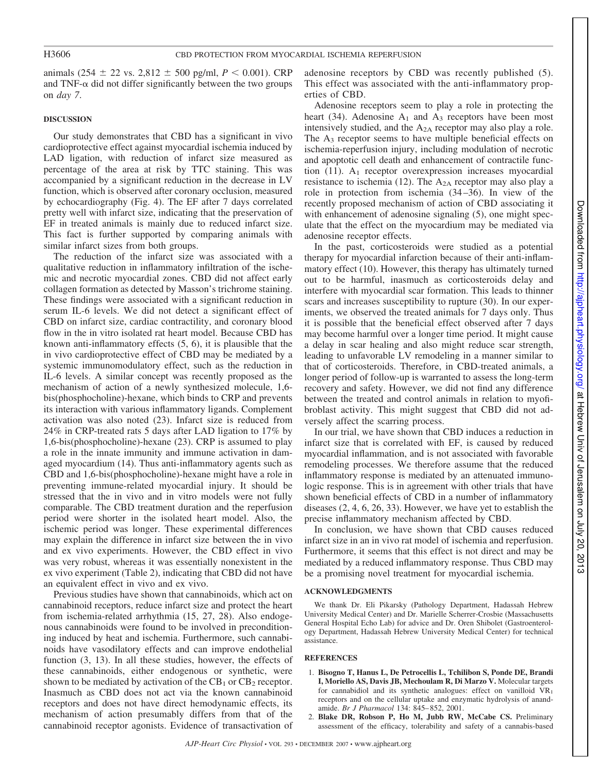animals (254  $\pm$  22 vs. 2,812  $\pm$  500 pg/ml, *P* < 0.001). CRP and TNF- $\alpha$  did not differ significantly between the two groups on *day 7*.

#### **DISCUSSION**

Our study demonstrates that CBD has a significant in vivo cardioprotective effect against myocardial ischemia induced by LAD ligation, with reduction of infarct size measured as percentage of the area at risk by TTC staining. This was accompanied by a significant reduction in the decrease in LV function, which is observed after coronary occlusion, measured by echocardiography (Fig. 4). The EF after 7 days correlated pretty well with infarct size, indicating that the preservation of EF in treated animals is mainly due to reduced infarct size. This fact is further supported by comparing animals with similar infarct sizes from both groups.

The reduction of the infarct size was associated with a qualitative reduction in inflammatory infiltration of the ischemic and necrotic myocardial zones. CBD did not affect early collagen formation as detected by Masson's trichrome staining. These findings were associated with a significant reduction in serum IL-6 levels. We did not detect a significant effect of CBD on infarct size, cardiac contractility, and coronary blood flow in the in vitro isolated rat heart model. Because CBD has known anti-inflammatory effects (5, 6), it is plausible that the in vivo cardioprotective effect of CBD may be mediated by a systemic immunomodulatory effect, such as the reduction in IL-6 levels. A similar concept was recently proposed as the mechanism of action of a newly synthesized molecule, 1,6 bis(phosphocholine)-hexane, which binds to CRP and prevents its interaction with various inflammatory ligands. Complement activation was also noted (23). Infarct size is reduced from 24% in CRP-treated rats 5 days after LAD ligation to 17% by 1,6-bis(phosphocholine)-hexane (23). CRP is assumed to play a role in the innate immunity and immune activation in damaged myocardium (14). Thus anti-inflammatory agents such as CBD and 1,6-bis(phosphocholine)-hexane might have a role in preventing immune-related myocardial injury. It should be stressed that the in vivo and in vitro models were not fully comparable. The CBD treatment duration and the reperfusion period were shorter in the isolated heart model. Also, the ischemic period was longer. These experimental differences may explain the difference in infarct size between the in vivo and ex vivo experiments. However, the CBD effect in vivo was very robust, whereas it was essentially nonexistent in the ex vivo experiment (Table 2), indicating that CBD did not have an equivalent effect in vivo and ex vivo.

Previous studies have shown that cannabinoids, which act on cannabinoid receptors, reduce infarct size and protect the heart from ischemia-related arrhythmia (15, 27, 28). Also endogenous cannabinoids were found to be involved in preconditioning induced by heat and ischemia. Furthermore, such cannabinoids have vasodilatory effects and can improve endothelial function (3, 13). In all these studies, however, the effects of these cannabinoids, either endogenous or synthetic, were shown to be mediated by activation of the  $CB<sub>1</sub>$  or  $CB<sub>2</sub>$  receptor. Inasmuch as CBD does not act via the known cannabinoid receptors and does not have direct hemodynamic effects, its mechanism of action presumably differs from that of the cannabinoid receptor agonists. Evidence of transactivation of adenosine receptors by CBD was recently published (5). This effect was associated with the anti-inflammatory properties of CBD.

Adenosine receptors seem to play a role in protecting the heart (34). Adenosine  $A_1$  and  $A_3$  receptors have been most intensively studied, and the  $A_{2A}$  receptor may also play a role. The A3 receptor seems to have multiple beneficial effects on ischemia-reperfusion injury, including modulation of necrotic and apoptotic cell death and enhancement of contractile function  $(11)$ . A<sub>1</sub> receptor overexpression increases myocardial resistance to ischemia (12). The  $A_{2A}$  receptor may also play a role in protection from ischemia (34–36). In view of the recently proposed mechanism of action of CBD associating it with enhancement of adenosine signaling  $(5)$ , one might speculate that the effect on the myocardium may be mediated via adenosine receptor effects.

In the past, corticosteroids were studied as a potential therapy for myocardial infarction because of their anti-inflammatory effect (10). However, this therapy has ultimately turned out to be harmful, inasmuch as corticosteroids delay and interfere with myocardial scar formation. This leads to thinner scars and increases susceptibility to rupture (30). In our experiments, we observed the treated animals for 7 days only. Thus it is possible that the beneficial effect observed after 7 days may become harmful over a longer time period. It might cause a delay in scar healing and also might reduce scar strength, leading to unfavorable LV remodeling in a manner similar to that of corticosteroids. Therefore, in CBD-treated animals, a longer period of follow-up is warranted to assess the long-term recovery and safety. However, we did not find any difference between the treated and control animals in relation to myofibroblast activity. This might suggest that CBD did not adversely affect the scarring process.

In our trial, we have shown that CBD induces a reduction in infarct size that is correlated with EF, is caused by reduced myocardial inflammation, and is not associated with favorable remodeling processes. We therefore assume that the reduced inflammatory response is mediated by an attenuated immunologic response. This is in agreement with other trials that have shown beneficial effects of CBD in a number of inflammatory diseases (2, 4, 6, 26, 33). However, we have yet to establish the precise inflammatory mechanism affected by CBD.

In conclusion, we have shown that CBD causes reduced infarct size in an in vivo rat model of ischemia and reperfusion. Furthermore, it seems that this effect is not direct and may be mediated by a reduced inflammatory response. Thus CBD may be a promising novel treatment for myocardial ischemia.

#### **ACKNOWLEDGMENTS**

We thank Dr. Eli Pikarsky (Pathology Department, Hadassah Hebrew University Medical Center) and Dr. Marielle Scherrer-Crosbie (Massachusetts General Hospital Echo Lab) for advice and Dr. Oren Shibolet (Gastroenterology Department, Hadassah Hebrew University Medical Center) for technical assistance.

#### **REFERENCES**

- 1. **Bisogno T, Hanus L, De Petrocellis L, Tchilibon S, Ponde DE, Brandi I, Moriello AS, Davis JB, Mechoulam R, Di Marzo V.** Molecular targets for cannabidiol and its synthetic analogues: effect on vanilloid VR1 receptors and on the cellular uptake and enzymatic hydrolysis of anandamide. *Br J Pharmacol* 134: 845–852, 2001.
- 2. **Blake DR, Robson P, Ho M, Jubb RW, McCabe CS.** Preliminary assessment of the efficacy, tolerability and safety of a cannabis-based